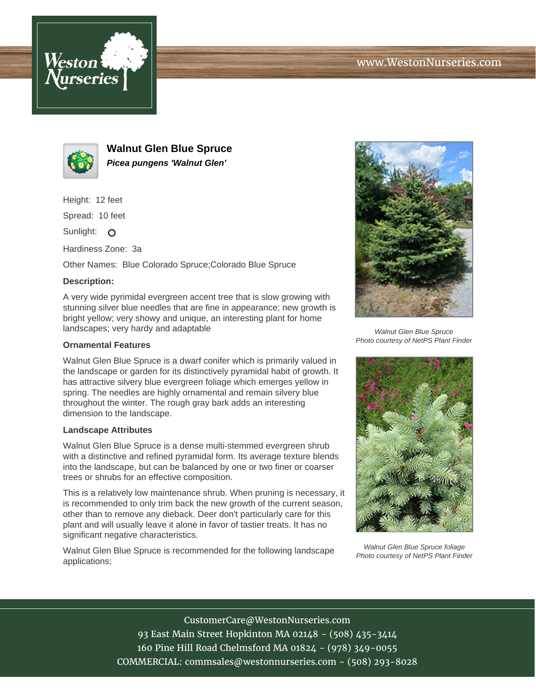



**Walnut Glen Blue Spruce Picea pungens 'Walnut Glen'**

Height: 12 feet

Spread: 10 feet

Sunlight: O

Hardiness Zone: 3a

Other Names: Blue Colorado Spruce;Colorado Blue Spruce

## **Description:**

A very wide pyrimidal evergreen accent tree that is slow growing with stunning silver blue needles that are fine in appearance; new growth is bright yellow; very showy and unique, an interesting plant for home landscapes; very hardy and adaptable

### **Ornamental Features**

Walnut Glen Blue Spruce is a dwarf conifer which is primarily valued in the landscape or garden for its distinctively pyramidal habit of growth. It has attractive silvery blue evergreen foliage which emerges yellow in spring. The needles are highly ornamental and remain silvery blue throughout the winter. The rough gray bark adds an interesting dimension to the landscape.

#### **Landscape Attributes**

Walnut Glen Blue Spruce is a dense multi-stemmed evergreen shrub with a distinctive and refined pyramidal form. Its average texture blends into the landscape, but can be balanced by one or two finer or coarser trees or shrubs for an effective composition.

This is a relatively low maintenance shrub. When pruning is necessary, it is recommended to only trim back the new growth of the current season, other than to remove any dieback. Deer don't particularly care for this plant and will usually leave it alone in favor of tastier treats. It has no significant negative characteristics.

Walnut Glen Blue Spruce is recommended for the following landscape applications;



Walnut Glen Blue Spruce Photo courtesy of NetPS Plant Finder



Walnut Glen Blue Spruce foliage Photo courtesy of NetPS Plant Finder

CustomerCare@WestonNurseries.com 93 East Main Street Hopkinton MA 02148 - (508) 435-3414 160 Pine Hill Road Chelmsford MA 01824 - (978) 349-0055 COMMERCIAL: commsales@westonnurseries.com - (508) 293-8028